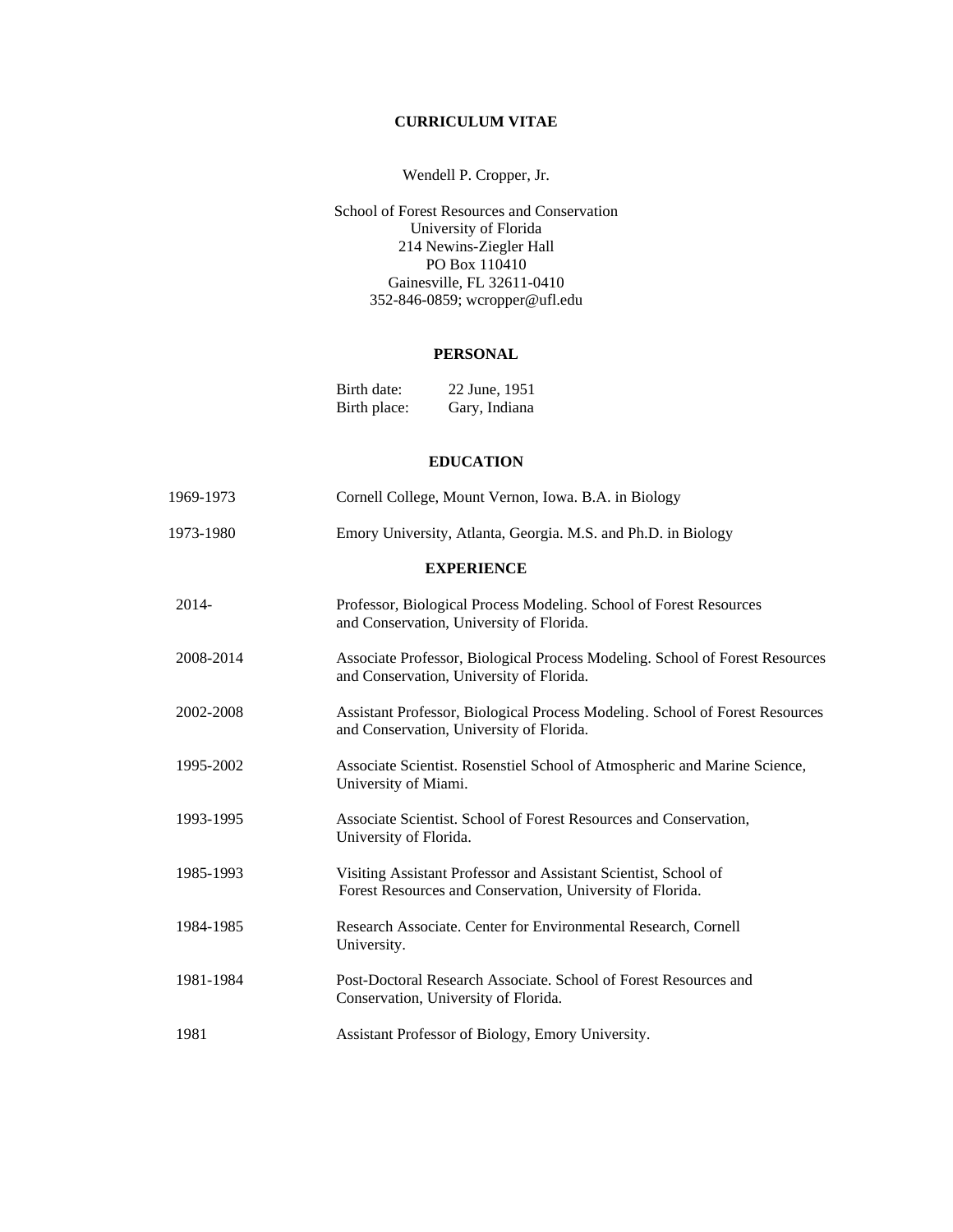# **CURRICULUM VITAE**

# Wendell P. Cropper, Jr.

School of Forest Resources and Conservation University of Florida 214 Newins-Ziegler Hall PO Box 110410 Gainesville, FL 32611-0410 352-846-0859; wcropper@ufl.edu

## **PERSONAL**

| Birth date:  | 22 June, 1951 |
|--------------|---------------|
| Birth place: | Gary, Indiana |

## **EDUCATION**

| 1969-1973         | Cornell College, Mount Vernon, Iowa. B.A. in Biology                                                                         |
|-------------------|------------------------------------------------------------------------------------------------------------------------------|
| 1973-1980         | Emory University, Atlanta, Georgia. M.S. and Ph.D. in Biology                                                                |
| <b>EXPERIENCE</b> |                                                                                                                              |
| 2014-             | Professor, Biological Process Modeling. School of Forest Resources<br>and Conservation, University of Florida.               |
| 2008-2014         | Associate Professor, Biological Process Modeling. School of Forest Resources<br>and Conservation, University of Florida.     |
| 2002-2008         | Assistant Professor, Biological Process Modeling. School of Forest Resources<br>and Conservation, University of Florida.     |
| 1995-2002         | Associate Scientist. Rosenstiel School of Atmospheric and Marine Science,<br>University of Miami.                            |
| 1993-1995         | Associate Scientist. School of Forest Resources and Conservation,<br>University of Florida.                                  |
| 1985-1993         | Visiting Assistant Professor and Assistant Scientist, School of<br>Forest Resources and Conservation, University of Florida. |
| 1984-1985         | Research Associate. Center for Environmental Research, Cornell<br>University.                                                |
| 1981-1984         | Post-Doctoral Research Associate. School of Forest Resources and<br>Conservation, University of Florida.                     |
| 1981              | Assistant Professor of Biology, Emory University.                                                                            |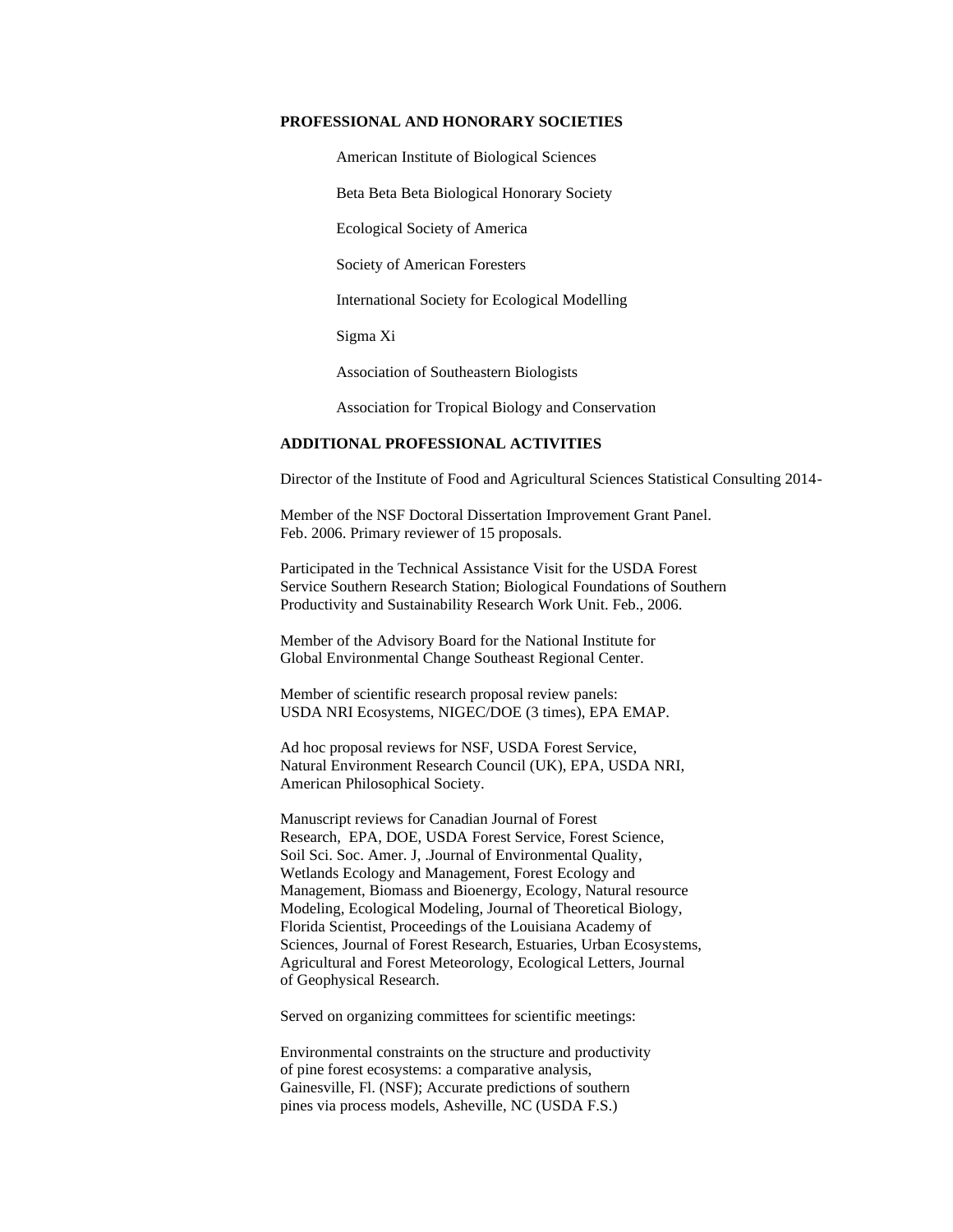#### **PROFESSIONAL AND HONORARY SOCIETIES**

American Institute of Biological Sciences

Beta Beta Beta Biological Honorary Society

Ecological Society of America

Society of American Foresters

International Society for Ecological Modelling

Sigma Xi

Association of Southeastern Biologists

Association for Tropical Biology and Conservation

#### **ADDITIONAL PROFESSIONAL ACTIVITIES**

Director of the Institute of Food and Agricultural Sciences Statistical Consulting 2014-

Member of the NSF Doctoral Dissertation Improvement Grant Panel. Feb. 2006. Primary reviewer of 15 proposals.

Participated in the Technical Assistance Visit for the USDA Forest Service Southern Research Station; Biological Foundations of Southern Productivity and Sustainability Research Work Unit. Feb., 2006.

Member of the Advisory Board for the National Institute for Global Environmental Change Southeast Regional Center.

Member of scientific research proposal review panels: USDA NRI Ecosystems, NIGEC/DOE (3 times), EPA EMAP.

Ad hoc proposal reviews for NSF, USDA Forest Service, Natural Environment Research Council (UK), EPA, USDA NRI, American Philosophical Society.

Manuscript reviews for Canadian Journal of Forest Research, EPA, DOE, USDA Forest Service, Forest Science, Soil Sci. Soc. Amer. J, .Journal of Environmental Quality, Wetlands Ecology and Management, Forest Ecology and Management, Biomass and Bioenergy, Ecology, Natural resource Modeling, Ecological Modeling, Journal of Theoretical Biology, Florida Scientist, Proceedings of the Louisiana Academy of Sciences, Journal of Forest Research, Estuaries, Urban Ecosystems, Agricultural and Forest Meteorology, Ecological Letters, Journal of Geophysical Research.

Served on organizing committees for scientific meetings:

Environmental constraints on the structure and productivity of pine forest ecosystems: a comparative analysis, Gainesville, Fl. (NSF); Accurate predictions of southern pines via process models, Asheville, NC (USDA F.S.)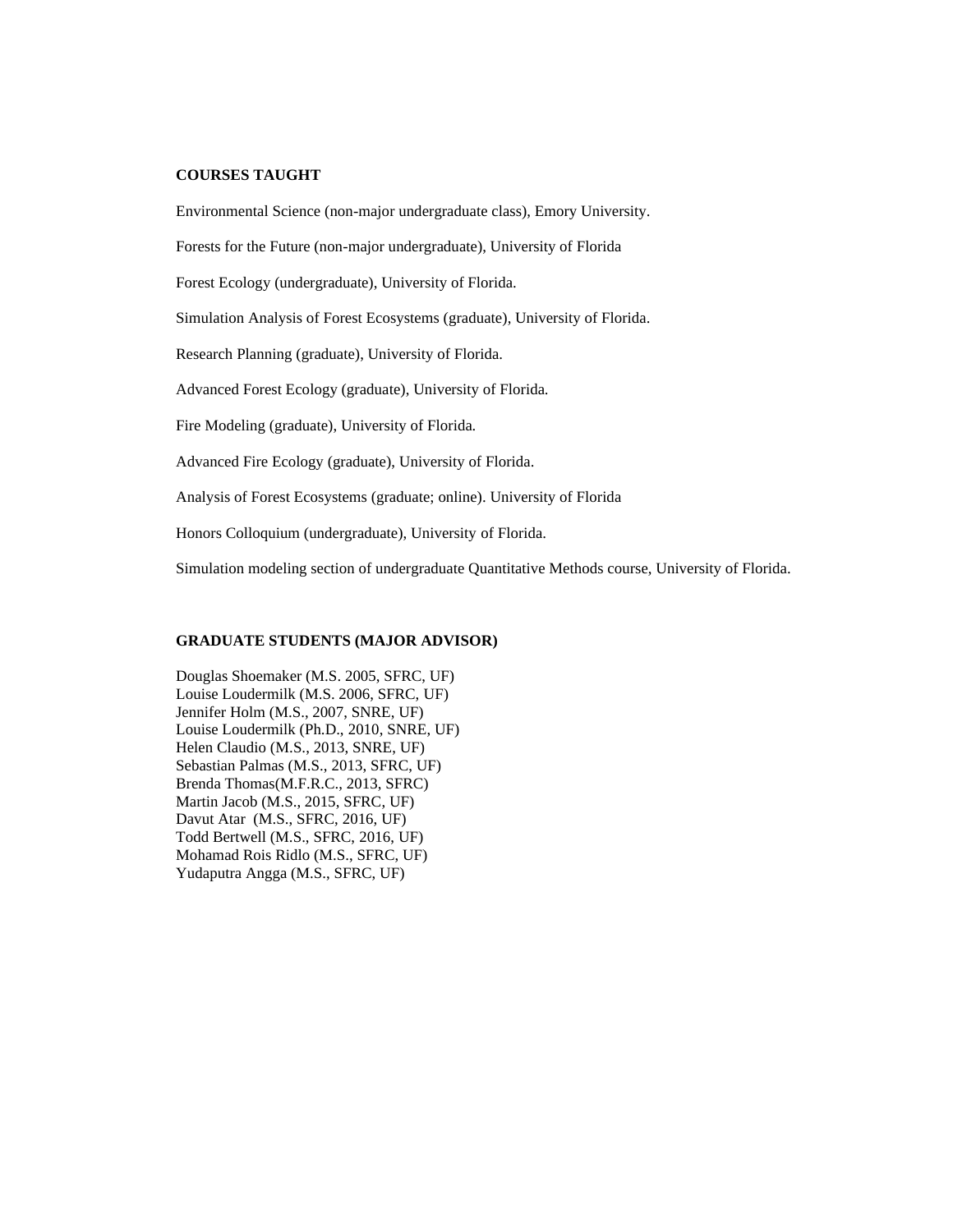#### **COURSES TAUGHT**

Environmental Science (non-major undergraduate class), Emory University.

Forests for the Future (non-major undergraduate), University of Florida

Forest Ecology (undergraduate), University of Florida.

Simulation Analysis of Forest Ecosystems (graduate), University of Florida.

Research Planning (graduate), University of Florida.

Advanced Forest Ecology (graduate), University of Florida.

Fire Modeling (graduate), University of Florida.

Advanced Fire Ecology (graduate), University of Florida.

Analysis of Forest Ecosystems (graduate; online). University of Florida

Honors Colloquium (undergraduate), University of Florida.

Simulation modeling section of undergraduate Quantitative Methods course, University of Florida.

### **GRADUATE STUDENTS (MAJOR ADVISOR)**

Douglas Shoemaker (M.S. 2005, SFRC, UF) Louise Loudermilk (M.S. 2006, SFRC, UF) Jennifer Holm (M.S., 2007, SNRE, UF) Louise Loudermilk (Ph.D., 2010, SNRE, UF) Helen Claudio (M.S., 2013, SNRE, UF) Sebastian Palmas (M.S., 2013, SFRC, UF) Brenda Thomas(M.F.R.C., 2013, SFRC) Martin Jacob (M.S., 2015, SFRC, UF) Davut Atar (M.S., SFRC, 2016, UF) Todd Bertwell (M.S., SFRC, 2016, UF) Mohamad Rois Ridlo (M.S., SFRC, UF) Yudaputra Angga (M.S., SFRC, UF)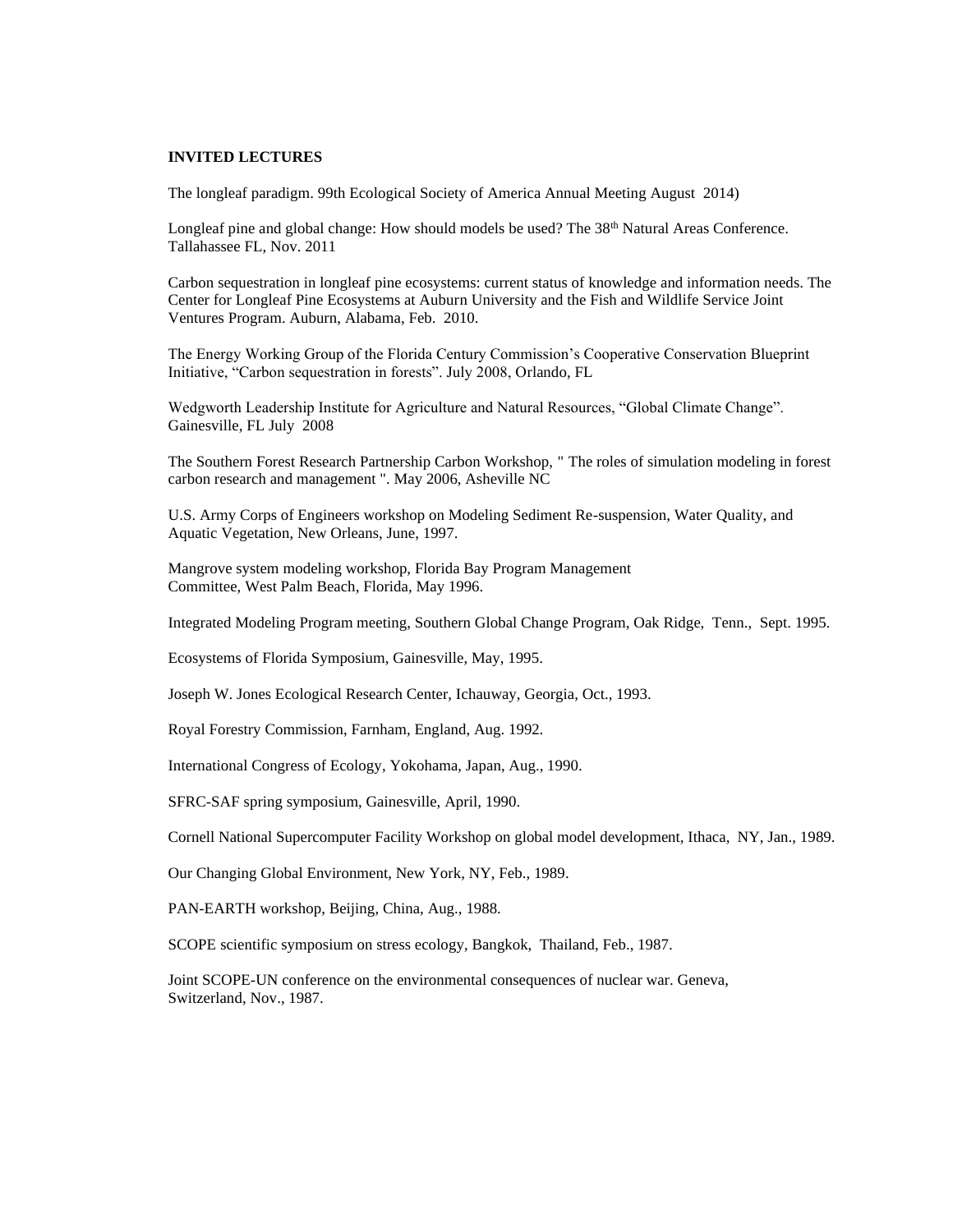#### **INVITED LECTURES**

The longleaf paradigm. 99th Ecological Society of America Annual Meeting August 2014)

Longleaf pine and global change: How should models be used? The 38<sup>th</sup> Natural Areas Conference. Tallahassee FL, Nov. 2011

Carbon sequestration in longleaf pine ecosystems: current status of knowledge and information needs. The Center for Longleaf Pine Ecosystems at Auburn University and the Fish and Wildlife Service Joint Ventures Program. Auburn, Alabama, Feb. 2010.

The Energy Working Group of the Florida Century Commission's Cooperative Conservation Blueprint Initiative, "Carbon sequestration in forests". July 2008, Orlando, FL

Wedgworth Leadership Institute for Agriculture and Natural Resources, "Global Climate Change". Gainesville, FL July 2008

The Southern Forest Research Partnership Carbon Workshop, " The roles of simulation modeling in forest carbon research and management ". May 2006, Asheville NC

U.S. Army Corps of Engineers workshop on Modeling Sediment Re-suspension, Water Quality, and Aquatic Vegetation, New Orleans, June, 1997.

Mangrove system modeling workshop, Florida Bay Program Management Committee, West Palm Beach, Florida, May 1996.

Integrated Modeling Program meeting, Southern Global Change Program, Oak Ridge, Tenn., Sept. 1995.

Ecosystems of Florida Symposium, Gainesville, May, 1995.

Joseph W. Jones Ecological Research Center, Ichauway, Georgia, Oct., 1993.

Royal Forestry Commission, Farnham, England, Aug. 1992.

International Congress of Ecology, Yokohama, Japan, Aug., 1990.

SFRC-SAF spring symposium, Gainesville, April, 1990.

Cornell National Supercomputer Facility Workshop on global model development, Ithaca, NY, Jan., 1989.

Our Changing Global Environment, New York, NY, Feb., 1989.

PAN-EARTH workshop, Beijing, China, Aug., 1988.

SCOPE scientific symposium on stress ecology, Bangkok, Thailand, Feb., 1987.

 Joint SCOPE-UN conference on the environmental consequences of nuclear war. Geneva, Switzerland, Nov., 1987.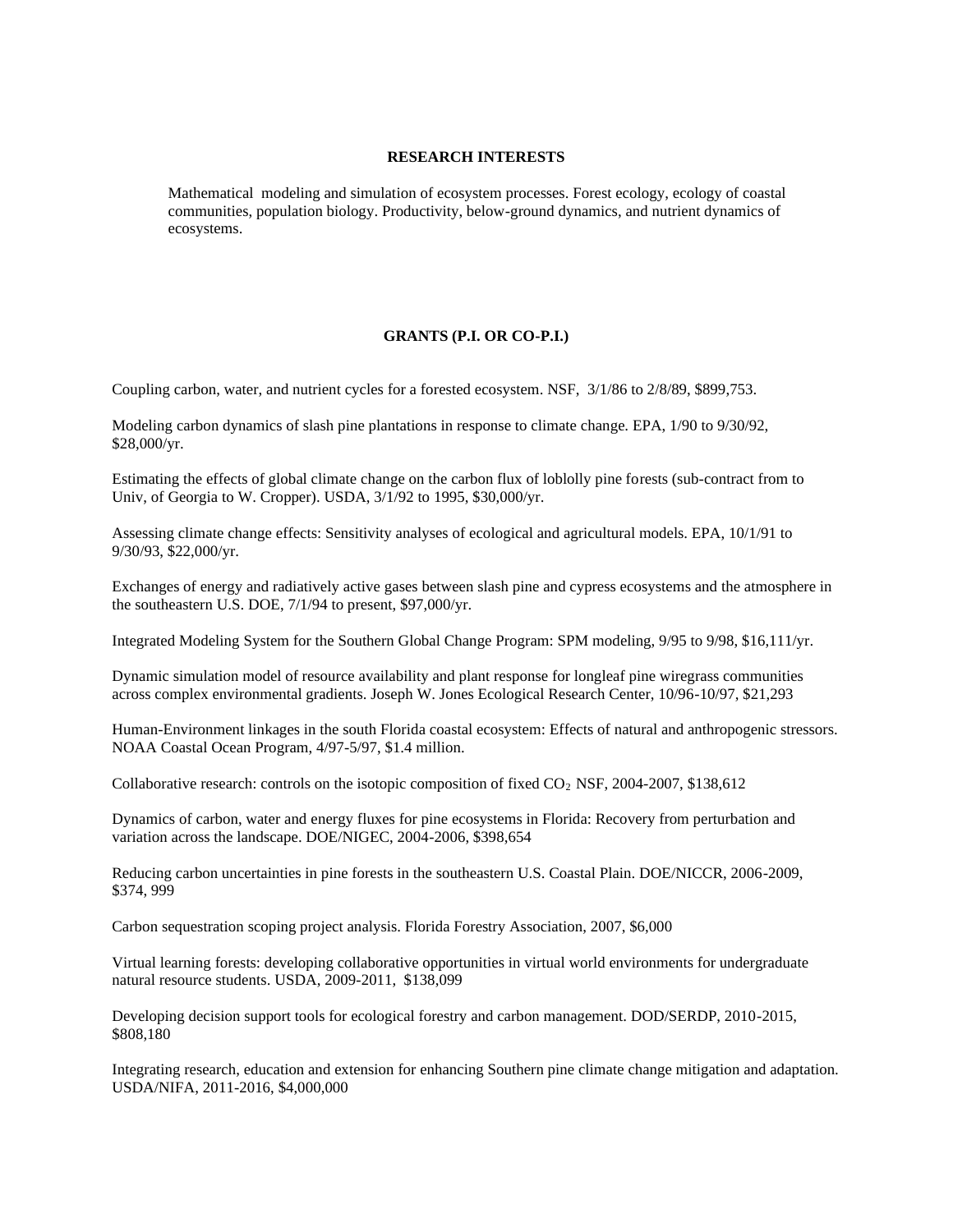#### **RESEARCH INTERESTS**

Mathematical modeling and simulation of ecosystem processes. Forest ecology, ecology of coastal communities, population biology. Productivity, below-ground dynamics, and nutrient dynamics of ecosystems.

## **GRANTS (P.I. OR CO-P.I.)**

Coupling carbon, water, and nutrient cycles for a forested ecosystem. NSF, 3/1/86 to 2/8/89, \$899,753.

Modeling carbon dynamics of slash pine plantations in response to climate change. EPA, 1/90 to 9/30/92, \$28,000/yr.

Estimating the effects of global climate change on the carbon flux of loblolly pine forests (sub-contract from to Univ, of Georgia to W. Cropper). USDA, 3/1/92 to 1995, \$30,000/yr.

Assessing climate change effects: Sensitivity analyses of ecological and agricultural models. EPA, 10/1/91 to 9/30/93, \$22,000/yr.

Exchanges of energy and radiatively active gases between slash pine and cypress ecosystems and the atmosphere in the southeastern U.S. DOE, 7/1/94 to present, \$97,000/yr.

Integrated Modeling System for the Southern Global Change Program: SPM modeling, 9/95 to 9/98, \$16,111/yr.

Dynamic simulation model of resource availability and plant response for longleaf pine wiregrass communities across complex environmental gradients. Joseph W. Jones Ecological Research Center, 10/96-10/97, \$21,293

Human-Environment linkages in the south Florida coastal ecosystem: Effects of natural and anthropogenic stressors. NOAA Coastal Ocean Program, 4/97-5/97, \$1.4 million.

Collaborative research: controls on the isotopic composition of fixed  $CO<sub>2</sub>$  NSF, 2004-2007, \$138,612

Dynamics of carbon, water and energy fluxes for pine ecosystems in Florida: Recovery from perturbation and variation across the landscape. DOE/NIGEC, 2004-2006, \$398,654

Reducing carbon uncertainties in pine forests in the southeastern U.S. Coastal Plain. DOE/NICCR, 2006-2009, \$374, 999

Carbon sequestration scoping project analysis. Florida Forestry Association, 2007, \$6,000

Virtual learning forests: developing collaborative opportunities in virtual world environments for undergraduate natural resource students. USDA, 2009-2011, \$138,099

Developing decision support tools for ecological forestry and carbon management. DOD/SERDP, 2010-2015, \$808,180

Integrating research, education and extension for enhancing Southern pine climate change mitigation and adaptation. USDA/NIFA, 2011-2016, \$4,000,000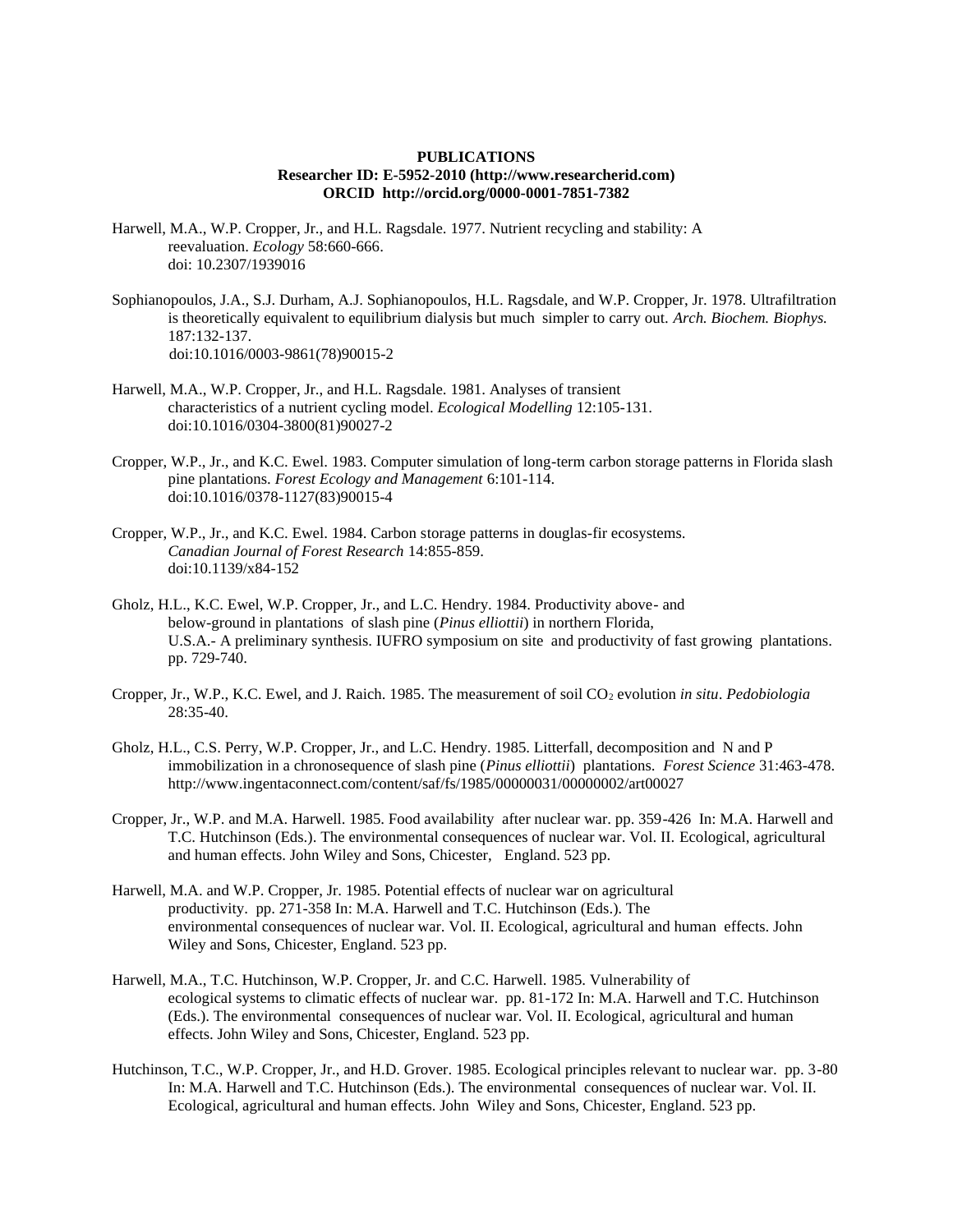#### **PUBLICATIONS Researcher ID: E-5952-2010 (http://www.researcherid.com) ORCID http://orcid.org/0000-0001-7851-7382**

- Harwell, M.A., W.P. Cropper, Jr., and H.L. Ragsdale. 1977. Nutrient recycling and stability: A reevaluation. *Ecology* 58:660-666. doi: 10.2307/1939016
- Sophianopoulos, J.A., S.J. Durham, A.J. Sophianopoulos, H.L. Ragsdale, and W.P. Cropper, Jr. 1978. Ultrafiltration is theoretically equivalent to equilibrium dialysis but much simpler to carry out. *Arch. Biochem. Biophys.* 187:132-137. doi:10.1016/0003-9861(78)90015-2
- Harwell, M.A., W.P. Cropper, Jr., and H.L. Ragsdale. 1981. Analyses of transient characteristics of a nutrient cycling model. *Ecological Modelling* 12:105-131. doi:10.1016/0304-3800(81)90027-2
- Cropper, W.P., Jr., and K.C. Ewel. 1983. Computer simulation of long-term carbon storage patterns in Florida slash pine plantations. *Forest Ecology and Management* 6:101-114. doi:10.1016/0378-1127(83)90015-4
- Cropper, W.P., Jr., and K.C. Ewel. 1984. Carbon storage patterns in douglas-fir ecosystems. *Canadian Journal of Forest Research* 14:855-859. doi:10.1139/x84-152
- Gholz, H.L., K.C. Ewel, W.P. Cropper, Jr., and L.C. Hendry. 1984. Productivity above- and below-ground in plantations of slash pine (*Pinus elliottii*) in northern Florida, U.S.A.- A preliminary synthesis. IUFRO symposium on site and productivity of fast growing plantations. pp. 729-740.
- Cropper, Jr., W.P., K.C. Ewel, and J. Raich. 1985. The measurement of soil CO<sup>2</sup> evolution *in situ*. *Pedobiologia* 28:35-40.
- Gholz, H.L., C.S. Perry, W.P. Cropper, Jr., and L.C. Hendry. 1985. Litterfall, decomposition and N and P immobilization in a chronosequence of slash pine (*Pinus elliottii*) plantations. *Forest Science* 31:463-478. http://www.ingentaconnect.com/content/saf/fs/1985/00000031/00000002/art00027
- Cropper, Jr., W.P. and M.A. Harwell. 1985. Food availability after nuclear war. pp. 359-426 In: M.A. Harwell and T.C. Hutchinson (Eds.). The environmental consequences of nuclear war. Vol. II. Ecological, agricultural and human effects. John Wiley and Sons, Chicester, England. 523 pp.
- Harwell, M.A. and W.P. Cropper, Jr. 1985. Potential effects of nuclear war on agricultural productivity. pp. 271-358 In: M.A. Harwell and T.C. Hutchinson (Eds.). The environmental consequences of nuclear war. Vol. II. Ecological, agricultural and human effects. John Wiley and Sons, Chicester, England. 523 pp.
- Harwell, M.A., T.C. Hutchinson, W.P. Cropper, Jr. and C.C. Harwell. 1985. Vulnerability of ecological systems to climatic effects of nuclear war. pp. 81-172 In: M.A. Harwell and T.C. Hutchinson (Eds.). The environmental consequences of nuclear war. Vol. II. Ecological, agricultural and human effects. John Wiley and Sons, Chicester, England. 523 pp.
- Hutchinson, T.C., W.P. Cropper, Jr., and H.D. Grover. 1985. Ecological principles relevant to nuclear war. pp. 3-80 In: M.A. Harwell and T.C. Hutchinson (Eds.). The environmental consequences of nuclear war. Vol. II. Ecological, agricultural and human effects. John Wiley and Sons, Chicester, England. 523 pp.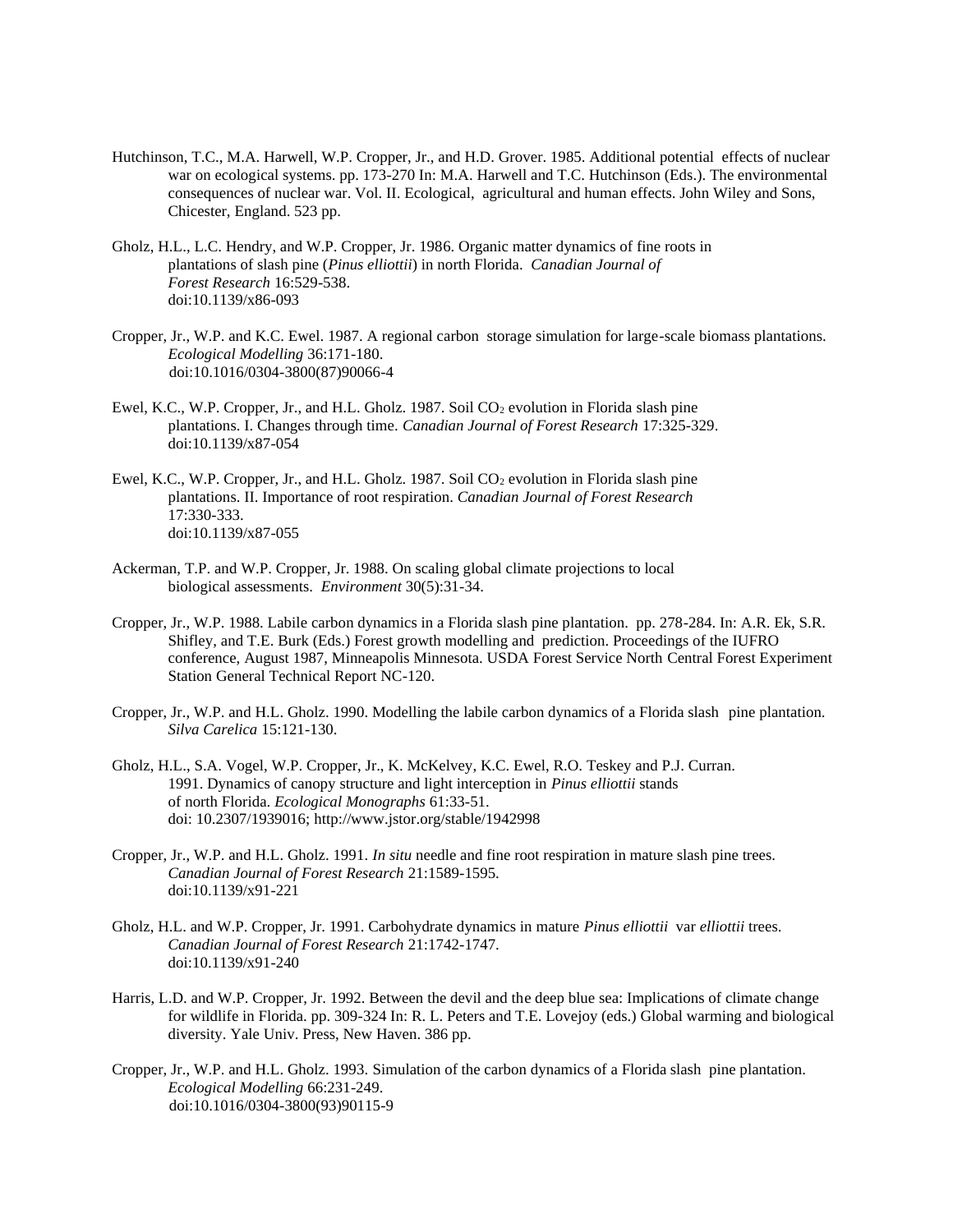- Hutchinson, T.C., M.A. Harwell, W.P. Cropper, Jr., and H.D. Grover. 1985. Additional potential effects of nuclear war on ecological systems. pp. 173-270 In: M.A. Harwell and T.C. Hutchinson (Eds.). The environmental consequences of nuclear war. Vol. II. Ecological, agricultural and human effects. John Wiley and Sons, Chicester, England. 523 pp.
- Gholz, H.L., L.C. Hendry, and W.P. Cropper, Jr. 1986. Organic matter dynamics of fine roots in plantations of slash pine (*Pinus elliottii*) in north Florida. *Canadian Journal of Forest Research* 16:529-538. doi:10.1139/x86-093
- Cropper, Jr., W.P. and K.C. Ewel. 1987. A regional carbon storage simulation for large-scale biomass plantations. *Ecological Modelling* 36:171-180. doi:10.1016/0304-3800(87)90066-4
- Ewel, K.C., W.P. Cropper, Jr., and H.L. Gholz. 1987. Soil CO<sup>2</sup> evolution in Florida slash pine plantations. I. Changes through time. *Canadian Journal of Forest Research* 17:325-329. doi:10.1139/x87-054
- Ewel, K.C., W.P. Cropper, Jr., and H.L. Gholz. 1987. Soil  $CO<sub>2</sub>$  evolution in Florida slash pine plantations. II. Importance of root respiration. *Canadian Journal of Forest Research* 17:330-333. doi:10.1139/x87-055
- Ackerman, T.P. and W.P. Cropper, Jr. 1988. On scaling global climate projections to local biological assessments. *Environment* 30(5):31-34.
- Cropper, Jr., W.P. 1988. Labile carbon dynamics in a Florida slash pine plantation. pp. 278-284. In: A.R. Ek, S.R. Shifley, and T.E. Burk (Eds.) Forest growth modelling and prediction. Proceedings of the IUFRO conference, August 1987, Minneapolis Minnesota. USDA Forest Service North Central Forest Experiment Station General Technical Report NC-120.
- Cropper, Jr., W.P. and H.L. Gholz. 1990. Modelling the labile carbon dynamics of a Florida slash pine plantation. *Silva Carelica* 15:121-130.
- Gholz, H.L., S.A. Vogel, W.P. Cropper, Jr., K. McKelvey, K.C. Ewel, R.O. Teskey and P.J. Curran. 1991. Dynamics of canopy structure and light interception in *Pinus elliottii* stands of north Florida. *Ecological Monographs* 61:33-51. doi: 10.2307/1939016; http://www.jstor.org/stable/1942998
- Cropper, Jr., W.P. and H.L. Gholz. 1991. *In situ* needle and fine root respiration in mature slash pine trees. *Canadian Journal of Forest Research* 21:1589-1595. doi:10.1139/x91-221
- Gholz, H.L. and W.P. Cropper, Jr. 1991. Carbohydrate dynamics in mature *Pinus elliottii* var *elliottii* trees. *Canadian Journal of Forest Research* 21:1742-1747. doi:10.1139/x91-240
- Harris, L.D. and W.P. Cropper, Jr. 1992. Between the devil and the deep blue sea: Implications of climate change for wildlife in Florida. pp. 309-324 In: R. L. Peters and T.E. Lovejoy (eds.) Global warming and biological diversity. Yale Univ. Press, New Haven. 386 pp.
- Cropper, Jr., W.P. and H.L. Gholz. 1993. Simulation of the carbon dynamics of a Florida slash pine plantation. *Ecological Modelling* 66:231-249. doi:10.1016/0304-3800(93)90115-9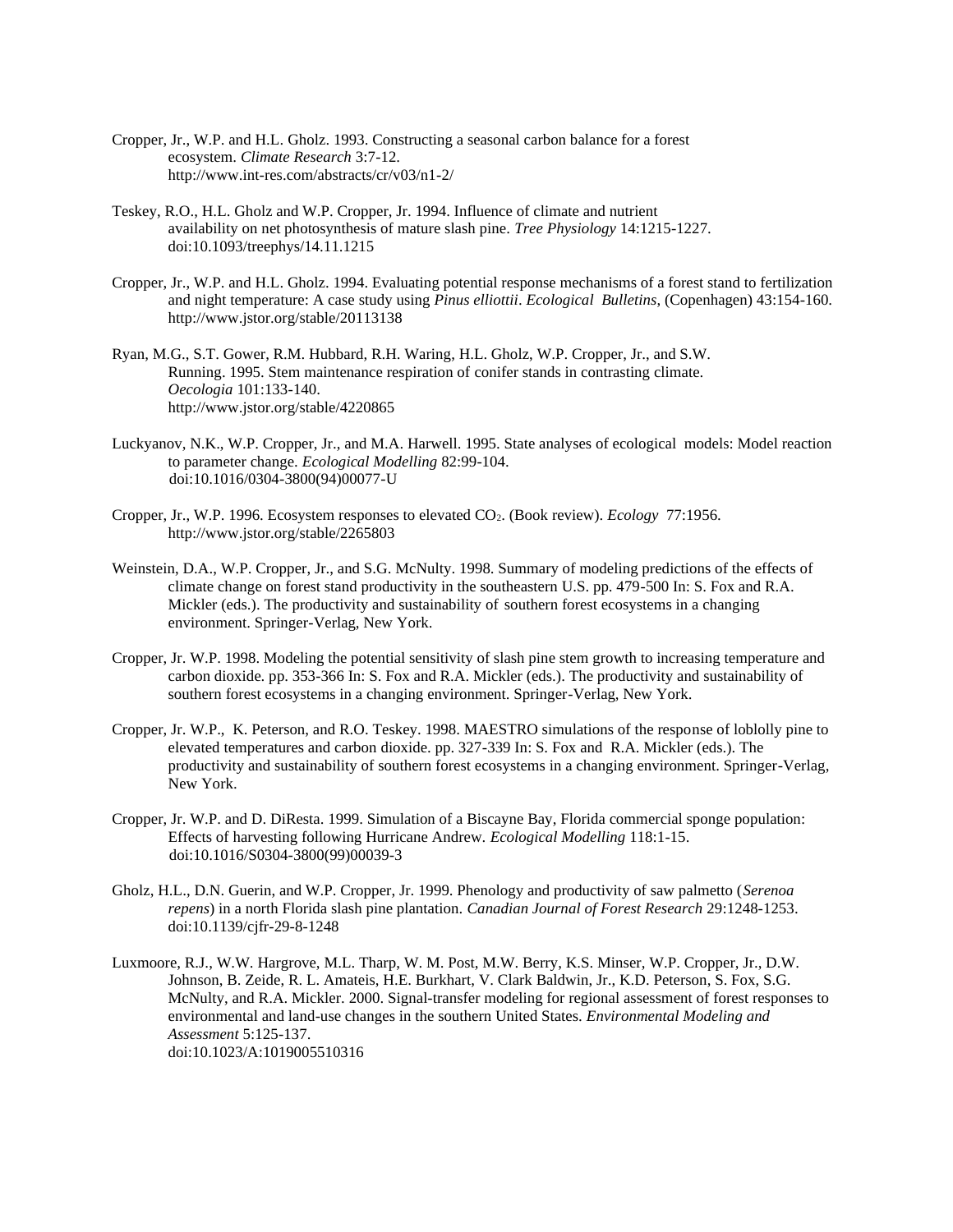- Cropper, Jr., W.P. and H.L. Gholz. 1993. Constructing a seasonal carbon balance for a forest ecosystem. *Climate Research* 3:7-12. http://www.int-res.com/abstracts/cr/v03/n1-2/
- Teskey, R.O., H.L. Gholz and W.P. Cropper, Jr. 1994. Influence of climate and nutrient availability on net photosynthesis of mature slash pine. *Tree Physiology* 14:1215-1227. doi:10.1093/treephys/14.11.1215
- Cropper, Jr., W.P. and H.L. Gholz. 1994. Evaluating potential response mechanisms of a forest stand to fertilization and night temperature: A case study using *Pinus elliottii*. *Ecological Bulletins*, (Copenhagen) 43:154-160. http://www.jstor.org/stable/20113138
- Ryan, M.G., S.T. Gower, R.M. Hubbard, R.H. Waring, H.L. Gholz, W.P. Cropper, Jr., and S.W. Running. 1995. Stem maintenance respiration of conifer stands in contrasting climate. *Oecologia* 101:133-140. http://www.jstor.org/stable/4220865
- Luckyanov, N.K., W.P. Cropper, Jr., and M.A. Harwell. 1995. State analyses of ecological models: Model reaction to parameter change. *Ecological Modelling* 82:99-104. doi:10.1016/0304-3800(94)00077-U
- Cropper, Jr., W.P. 1996. Ecosystem responses to elevated CO2. (Book review). *Ecology* 77:1956. http://www.jstor.org/stable/2265803
- Weinstein, D.A., W.P. Cropper, Jr., and S.G. McNulty. 1998. Summary of modeling predictions of the effects of climate change on forest stand productivity in the southeastern U.S. pp. 479-500 In: S. Fox and R.A. Mickler (eds.). The productivity and sustainability of southern forest ecosystems in a changing environment. Springer-Verlag, New York.
- Cropper, Jr. W.P. 1998. Modeling the potential sensitivity of slash pine stem growth to increasing temperature and carbon dioxide. pp. 353-366 In: S. Fox and R.A. Mickler (eds.). The productivity and sustainability of southern forest ecosystems in a changing environment. Springer-Verlag, New York.
- Cropper, Jr. W.P., K. Peterson, and R.O. Teskey. 1998. MAESTRO simulations of the response of loblolly pine to elevated temperatures and carbon dioxide. pp. 327-339 In: S. Fox and R.A. Mickler (eds.). The productivity and sustainability of southern forest ecosystems in a changing environment. Springer-Verlag, New York.
- Cropper, Jr. W.P. and D. DiResta. 1999. Simulation of a Biscayne Bay, Florida commercial sponge population: Effects of harvesting following Hurricane Andrew. *Ecological Modelling* 118:1-15. doi:10.1016/S0304-3800(99)00039-3
- Gholz, H.L., D.N. Guerin, and W.P. Cropper, Jr. 1999. Phenology and productivity of saw palmetto (*Serenoa repens*) in a north Florida slash pine plantation. *Canadian Journal of Forest Research* 29:1248-1253. doi:10.1139/cjfr-29-8-1248
- Luxmoore, R.J., W.W. Hargrove, M.L. Tharp, W. M. Post, M.W. Berry, K.S. Minser, W.P. Cropper, Jr., D.W. Johnson, B. Zeide, R. L. Amateis, H.E. Burkhart, V. Clark Baldwin, Jr., K.D. Peterson, S. Fox, S.G. McNulty, and R.A. Mickler. 2000. Signal-transfer modeling for regional assessment of forest responses to environmental and land-use changes in the southern United States. *Environmental Modeling and Assessment* 5:125-137. doi:10.1023/A:1019005510316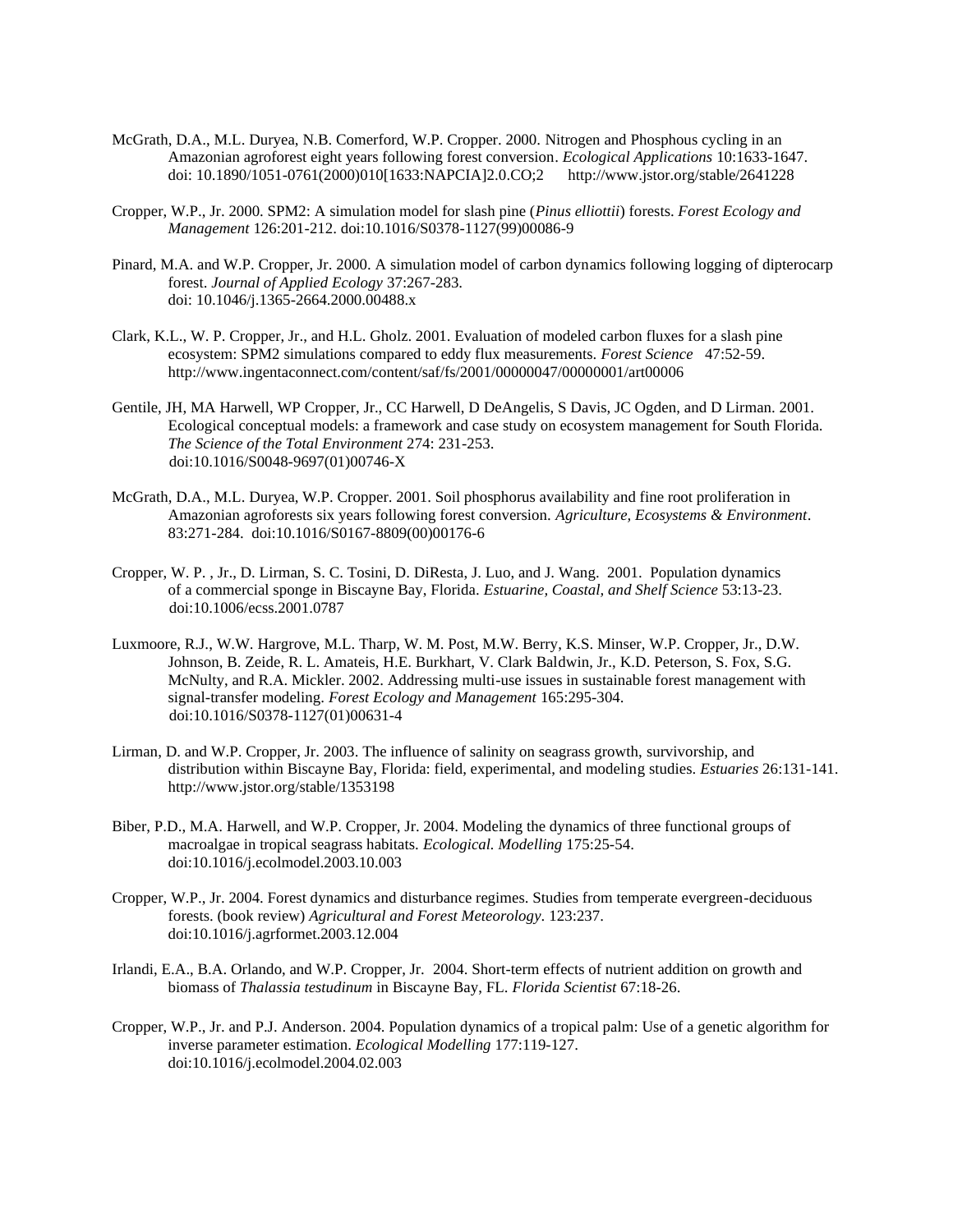- McGrath, D.A., M.L. Duryea, N.B. Comerford, W.P. Cropper. 2000. Nitrogen and Phosphous cycling in an Amazonian agroforest eight years following forest conversion. *Ecological Applications* 10:1633-1647. doi: 10.1890/1051-0761(2000)010[1633:NAPCIA]2.0.CO;2 http://www.jstor.org/stable/2641228
- Cropper, W.P., Jr. 2000. SPM2: A simulation model for slash pine (*Pinus elliottii*) forests. *Forest Ecology and Management* 126:201-212. doi:10.1016/S0378-1127(99)00086-9
- Pinard, M.A. and W.P. Cropper, Jr. 2000. A simulation model of carbon dynamics following logging of dipterocarp forest. *Journal of Applied Ecology* 37:267-283. doi: 10.1046/j.1365-2664.2000.00488.x
- Clark, K.L., W. P. Cropper, Jr., and H.L. Gholz. 2001. Evaluation of modeled carbon fluxes for a slash pine ecosystem: SPM2 simulations compared to eddy flux measurements. *Forest Science* 47:52-59. http://www.ingentaconnect.com/content/saf/fs/2001/00000047/00000001/art00006
- Gentile, JH, MA Harwell, WP Cropper, Jr., CC Harwell, D DeAngelis, S Davis, JC Ogden, and D Lirman. 2001. Ecological conceptual models: a framework and case study on ecosystem management for South Florida. *The Science of the Total Environment* 274: 231-253. doi:10.1016/S0048-9697(01)00746-X
- McGrath, D.A., M.L. Duryea, W.P. Cropper. 2001. Soil phosphorus availability and fine root proliferation in Amazonian agroforests six years following forest conversion. *Agriculture, Ecosystems & Environment*. 83:271-284. doi:10.1016/S0167-8809(00)00176-6
- Cropper, W. P. , Jr., D. Lirman, S. C. Tosini, D. DiResta, J. Luo, and J. Wang. 2001. Population dynamics of a commercial sponge in Biscayne Bay, Florida. *Estuarine, Coastal, and Shelf Science* 53:13-23. doi:10.1006/ecss.2001.0787
- Luxmoore, R.J., W.W. Hargrove, M.L. Tharp, W. M. Post, M.W. Berry, K.S. Minser, W.P. Cropper, Jr., D.W. Johnson, B. Zeide, R. L. Amateis, H.E. Burkhart, V. Clark Baldwin, Jr., K.D. Peterson, S. Fox, S.G. McNulty, and R.A. Mickler. 2002. Addressing multi-use issues in sustainable forest management with signal-transfer modeling. *Forest Ecology and Management* 165:295-304. doi:10.1016/S0378-1127(01)00631-4
- Lirman, D. and W.P. Cropper, Jr. 2003. The influence of salinity on seagrass growth, survivorship, and distribution within Biscayne Bay, Florida: field, experimental, and modeling studies. *Estuaries* 26:131-141. http://www.jstor.org/stable/1353198
- Biber, P.D., M.A. Harwell, and W.P. Cropper, Jr. 2004. Modeling the dynamics of three functional groups of macroalgae in tropical seagrass habitats. *Ecological. Modelling* 175:25-54. doi:10.1016/j.ecolmodel.2003.10.003
- Cropper, W.P., Jr. 2004. Forest dynamics and disturbance regimes. Studies from temperate evergreen-deciduous forests. (book review) *Agricultural and Forest Meteorology*. 123:237. doi:10.1016/j.agrformet.2003.12.004
- Irlandi, E.A., B.A. Orlando, and W.P. Cropper, Jr. 2004. Short-term effects of nutrient addition on growth and biomass of *Thalassia testudinum* in Biscayne Bay, FL. *Florida Scientist* 67:18-26.
- Cropper, W.P., Jr. and P.J. Anderson. 2004. Population dynamics of a tropical palm: Use of a genetic algorithm for inverse parameter estimation. *Ecological Modelling* 177:119-127. doi:10.1016/j.ecolmodel.2004.02.003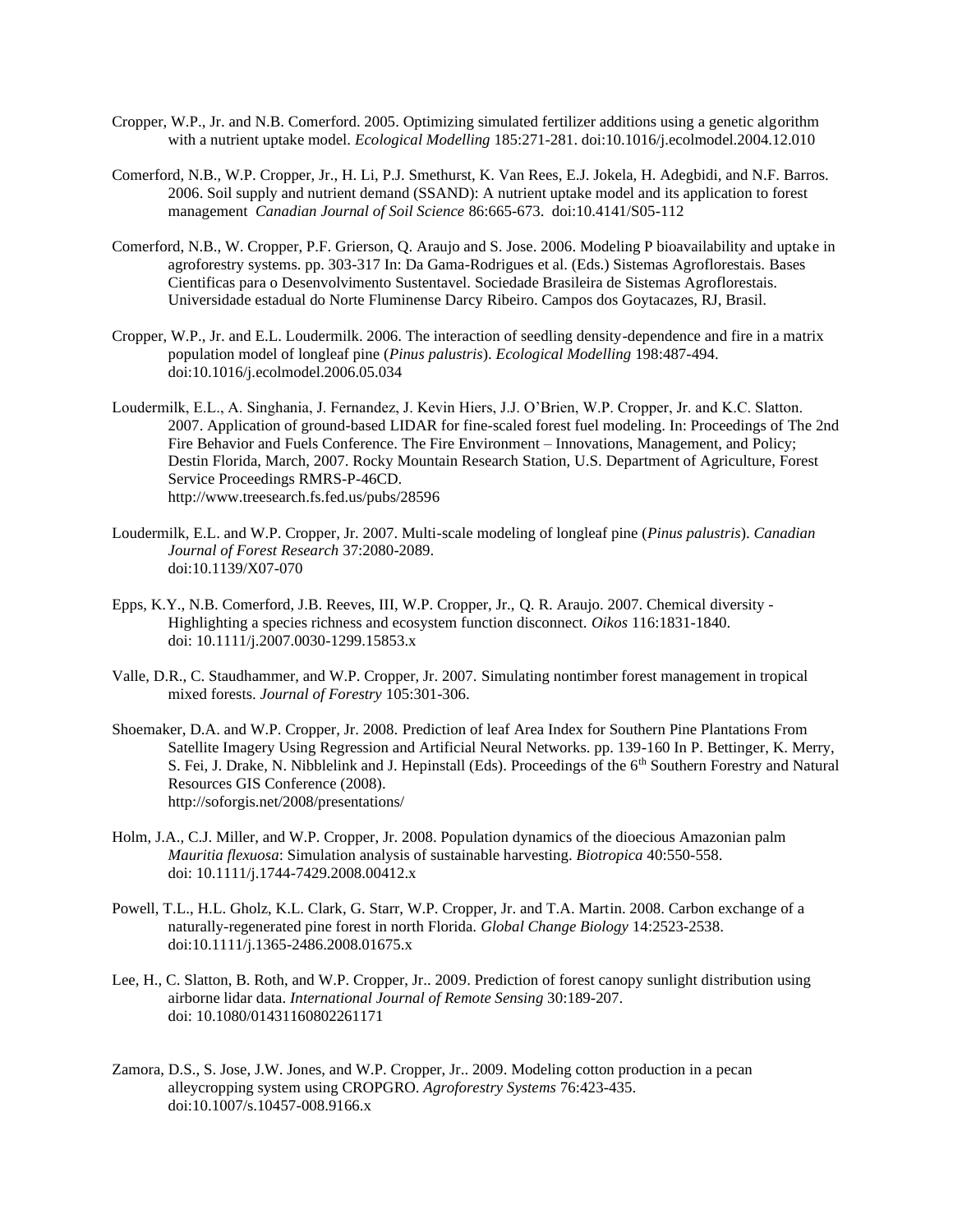- Cropper, W.P., Jr. and N.B. Comerford. 2005. Optimizing simulated fertilizer additions using a genetic algorithm with a nutrient uptake model. *Ecological Modelling* 185:271-281. doi:10.1016/j.ecolmodel.2004.12.010
- Comerford, N.B., W.P. Cropper, Jr., H. Li, P.J. Smethurst, K. Van Rees, E.J. Jokela, H. Adegbidi, and N.F. Barros. 2006. Soil supply and nutrient demand (SSAND): A nutrient uptake model and its application to forest management *Canadian Journal of Soil Science* 86:665-673. doi:10.4141/S05-112
- Comerford, N.B., W. Cropper, P.F. Grierson, Q. Araujo and S. Jose. 2006. Modeling P bioavailability and uptake in agroforestry systems. pp. 303-317 In: Da Gama-Rodrigues et al. (Eds.) Sistemas Agroflorestais. Bases Cientificas para o Desenvolvimento Sustentavel. Sociedade Brasileira de Sistemas Agroflorestais. Universidade estadual do Norte Fluminense Darcy Ribeiro. Campos dos Goytacazes, RJ, Brasil.
- Cropper, W.P., Jr. and E.L. Loudermilk. 2006. The interaction of seedling density-dependence and fire in a matrix population model of longleaf pine (*Pinus palustris*). *Ecological Modelling* 198:487-494. doi:10.1016/j.ecolmodel.2006.05.034
- Loudermilk, E.L., A. Singhania, J. Fernandez, J. Kevin Hiers, J.J. O'Brien, W.P. Cropper, Jr. and K.C. Slatton. 2007. Application of ground-based LIDAR for fine-scaled forest fuel modeling. In: Proceedings of The 2nd Fire Behavior and Fuels Conference. The Fire Environment – Innovations, Management, and Policy; Destin Florida, March, 2007. Rocky Mountain Research Station, U.S. Department of Agriculture, Forest Service Proceedings RMRS-P-46CD. http://www.treesearch.fs.fed.us/pubs/28596
- Loudermilk, E.L. and W.P. Cropper, Jr. 2007. Multi-scale modeling of longleaf pine (*Pinus palustris*). *Canadian Journal of Forest Research* 37:2080-2089. doi:10.1139/X07-070
- Epps, K.Y., N.B. Comerford, J.B. Reeves, III, W.P. Cropper, Jr., Q. R. Araujo. 2007. Chemical diversity Highlighting a species richness and ecosystem function disconnect. *Oikos* 116:1831-1840. doi: 10.1111/j.2007.0030-1299.15853.x
- Valle, D.R., C. Staudhammer, and W.P. Cropper, Jr. 2007. Simulating nontimber forest management in tropical mixed forests. *Journal of Forestry* 105:301-306.
- Shoemaker, D.A. and W.P. Cropper, Jr. 2008. Prediction of leaf Area Index for Southern Pine Plantations From Satellite Imagery Using Regression and Artificial Neural Networks. pp. 139-160 In P. Bettinger, K. Merry, S. Fei, J. Drake, N. Nibblelink and J. Hepinstall (Eds). Proceedings of the 6th Southern Forestry and Natural Resources GIS Conference (2008). http://soforgis.net/2008/presentations/
- Holm, J.A., C.J. Miller, and W.P. Cropper, Jr. 2008. Population dynamics of the dioecious Amazonian palm *Mauritia flexuosa*: Simulation analysis of sustainable harvesting. *Biotropica* 40:550-558. doi: 10.1111/j.1744-7429.2008.00412.x
- Powell, T.L., H.L. Gholz, K.L. Clark, G. Starr, W.P. Cropper, Jr. and T.A. Martin. 2008. Carbon exchange of a naturally-regenerated pine forest in north Florida. *Global Change Biology* 14:2523-2538. doi:10.1111/j.1365-2486.2008.01675.x
- Lee, H., C. Slatton, B. Roth, and W.P. Cropper, Jr.. 2009. Prediction of forest canopy sunlight distribution using airborne lidar data. *International Journal of Remote Sensing* 30:189-207. doi: 10.1080/01431160802261171
- Zamora, D.S., S. Jose, J.W. Jones, and W.P. Cropper, Jr.. 2009. Modeling cotton production in a pecan alleycropping system using CROPGRO. *Agroforestry Systems* 76:423-435. doi:10.1007/s.10457-008.9166.x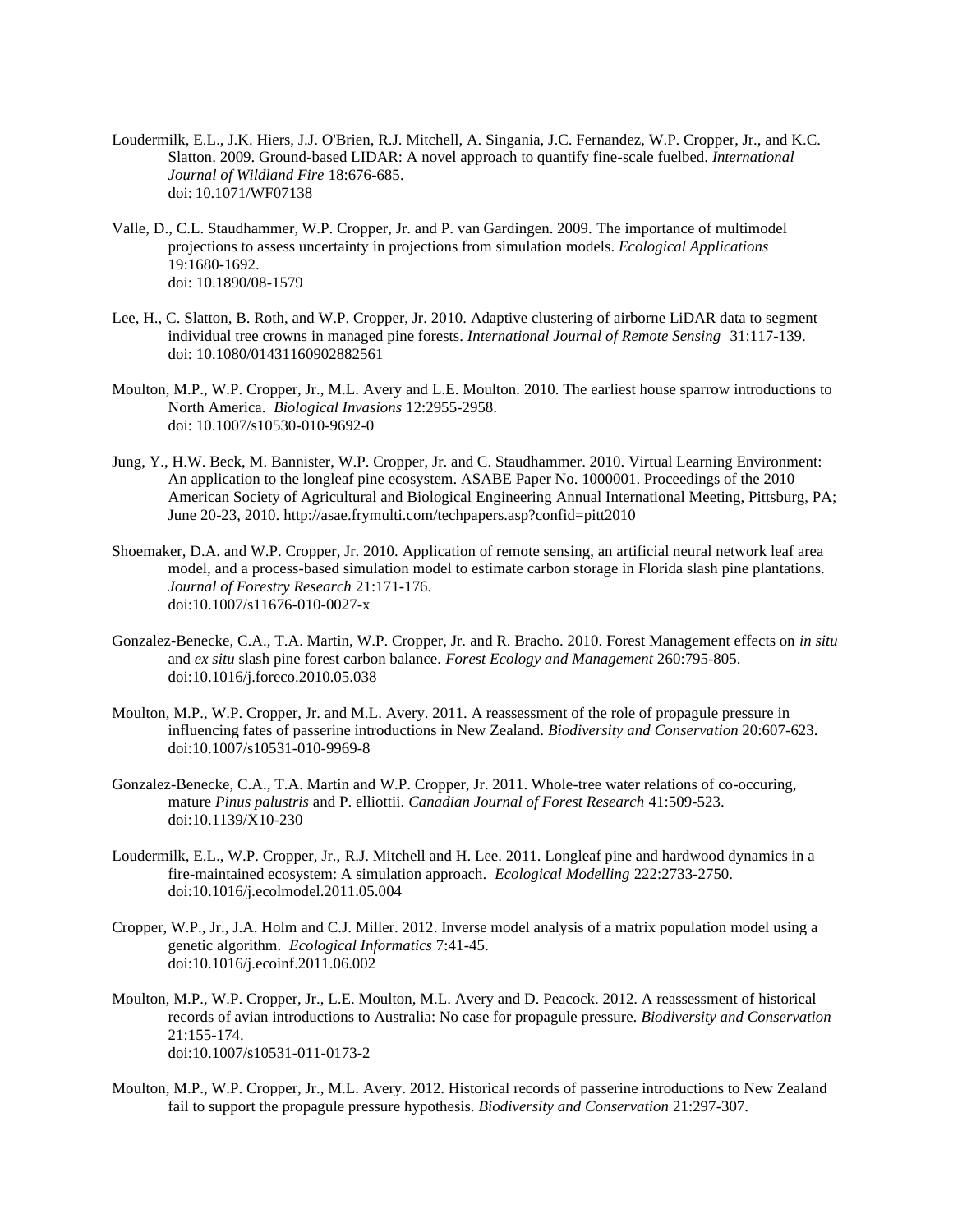- Loudermilk, E.L., J.K. Hiers, J.J. O'Brien, R.J. Mitchell, A. Singania, J.C. Fernandez, W.P. Cropper, Jr., and K.C. Slatton. 2009. Ground-based LIDAR: A novel approach to quantify fine-scale fuelbed. *International Journal of Wildland Fire* 18:676-685. doi: 10.1071/WF07138
- Valle, D., C.L. Staudhammer, W.P. Cropper, Jr. and P. van Gardingen. 2009. The importance of multimodel projections to assess uncertainty in projections from simulation models. *Ecological Applications* 19:1680-1692. doi: 10.1890/08-1579
- Lee, H., C. Slatton, B. Roth, and W.P. Cropper, Jr. 2010. Adaptive clustering of airborne LiDAR data to segment individual tree crowns in managed pine forests. *International Journal of Remote Sensing* 31:117-139. doi: 10.1080/01431160902882561
- Moulton, M.P., W.P. Cropper, Jr., M.L. Avery and L.E. Moulton. 2010. The earliest house sparrow introductions to North America. *Biological Invasions* 12:2955-2958. doi: 10.1007/s10530-010-9692-0
- Jung, Y., H.W. Beck, M. Bannister, W.P. Cropper, Jr. and C. Staudhammer. 2010. Virtual Learning Environment: An application to the longleaf pine ecosystem. ASABE Paper No. 1000001. Proceedings of the 2010 American Society of Agricultural and Biological Engineering Annual International Meeting, Pittsburg, PA; June 20-23, 2010. http://asae.frymulti.com/techpapers.asp?confid=pitt2010
- Shoemaker, D.A. and W.P. Cropper, Jr. 2010. Application of remote sensing, an artificial neural network leaf area model, and a process-based simulation model to estimate carbon storage in Florida slash pine plantations. *Journal of Forestry Research* 21:171-176. doi:10.1007/s11676-010-0027-x
- Gonzalez-Benecke, C.A., T.A. Martin, W.P. Cropper, Jr. and R. Bracho. 2010. Forest Management effects on *in situ* and *ex situ* slash pine forest carbon balance. *Forest Ecology and Management* 260:795-805. doi:10.1016/j.foreco.2010.05.038
- Moulton, M.P., W.P. Cropper, Jr. and M.L. Avery. 2011. A reassessment of the role of propagule pressure in influencing fates of passerine introductions in New Zealand. *Biodiversity and Conservation* 20:607-623. doi:10.1007/s10531-010-9969-8
- Gonzalez-Benecke, C.A., T.A. Martin and W.P. Cropper, Jr. 2011. Whole-tree water relations of co-occuring, mature *Pinus palustris* and P. elliottii. *Canadian Journal of Forest Research* 41:509-523. doi:10.1139/X10-230
- Loudermilk, E.L., W.P. Cropper, Jr., R.J. Mitchell and H. Lee. 2011. Longleaf pine and hardwood dynamics in a fire-maintained ecosystem: A simulation approach. *Ecological Modelling* 222:2733-2750. doi:10.1016/j.ecolmodel.2011.05.004
- Cropper, W.P., Jr., J.A. Holm and C.J. Miller. 2012. Inverse model analysis of a matrix population model using a genetic algorithm. *Ecological Informatics* 7:41-45. doi:10.1016/j.ecoinf.2011.06.002
- Moulton, M.P., W.P. Cropper, Jr., L.E. Moulton, M.L. Avery and D. Peacock. 2012. A reassessment of historical records of avian introductions to Australia: No case for propagule pressure. *Biodiversity and Conservation* 21:155-174. doi:10.1007/s10531-011-0173-2
- Moulton, M.P., W.P. Cropper, Jr., M.L. Avery. 2012. Historical records of passerine introductions to New Zealand fail to support the propagule pressure hypothesis. *Biodiversity and Conservation* 21:297-307.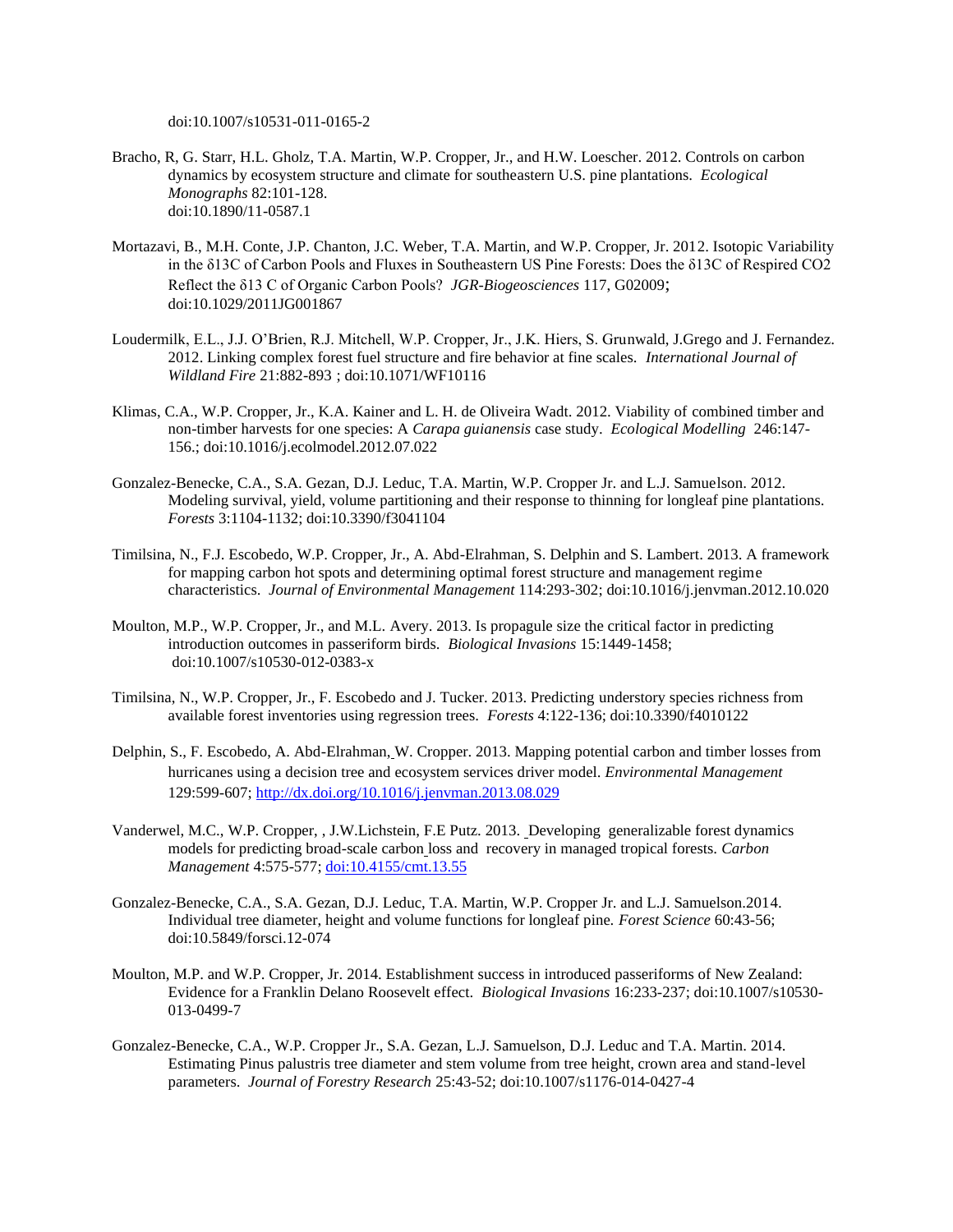doi:10.1007/s10531-011-0165-2

- Bracho, R, G. Starr, H.L. Gholz, T.A. Martin, W.P. Cropper, Jr., and H.W. Loescher. 2012. Controls on carbon dynamics by ecosystem structure and climate for southeastern U.S. pine plantations. *Ecological Monographs* 82:101-128. doi:10.1890/11-0587.1
- Mortazavi, B., M.H. Conte, J.P. Chanton, J.C. Weber, T.A. Martin, and W.P. Cropper, Jr. 2012. Isotopic Variability in the δ13C of Carbon Pools and Fluxes in Southeastern US Pine Forests: Does the δ13C of Respired CO2 Reflect the δ13 C of Organic Carbon Pools? *JGR-Biogeosciences* 117, G02009; doi:10.1029/2011JG001867
- Loudermilk, E.L., J.J. O'Brien, R.J. Mitchell, W.P. Cropper, Jr., J.K. Hiers, S. Grunwald, J.Grego and J. Fernandez. 2012. Linking complex forest fuel structure and fire behavior at fine scales. *International Journal of Wildland Fire* 21:882-893 ; doi:10.1071/WF10116
- Klimas, C.A., W.P. Cropper, Jr., K.A. Kainer and L. H. de Oliveira Wadt. 2012. Viability of combined timber and non-timber harvests for one species: A *Carapa guianensis* case study. *Ecological Modelling* 246:147- 156.; doi:10.1016/j.ecolmodel.2012.07.022
- Gonzalez-Benecke, C.A., S.A. Gezan, D.J. Leduc, T.A. Martin, W.P. Cropper Jr. and L.J. Samuelson. 2012. Modeling survival, yield, volume partitioning and their response to thinning for longleaf pine plantations. *Forests* 3:1104-1132; doi:10.3390/f3041104
- Timilsina, N., F.J. Escobedo, W.P. Cropper, Jr., A. Abd-Elrahman, S. Delphin and S. Lambert. 2013. A framework for mapping carbon hot spots and determining optimal forest structure and management regime characteristics. *Journal of Environmental Management* 114:293-302; doi:10.1016/j.jenvman.2012.10.020
- Moulton, M.P., W.P. Cropper, Jr., and M.L. Avery. 2013. Is propagule size the critical factor in predicting introduction outcomes in passeriform birds. *Biological Invasions* 15:1449-1458; doi:10.1007/s10530-012-0383-x
- Timilsina, N., W.P. Cropper, Jr., F. Escobedo and J. Tucker. 2013. Predicting understory species richness from available forest inventories using regression trees. *Forests* 4:122-136; doi:10.3390/f4010122
- Delphin, S., F. Escobedo, A. Abd-Elrahman, W. Cropper. 2013. Mapping potential carbon and timber losses from hurricanes using a decision tree and ecosystem services driver model. *Environmental Management* 129:599-607[; http://dx.doi.org/10.1016/j.jenvman.2013.08.029](http://dx.doi.org/10.1016/j.jenvman.2013.08.029)
- Vanderwel, M.C., W.P. Cropper, , J.W.Lichstein, F.E Putz. 2013. Developing generalizable forest dynamics models for predicting broad-scale carbon loss and recovery in managed tropical forests. *Carbon Management* 4:575-577; [doi:10.4155/cmt.13.55](http://dx.doi.org/10.4155/cmt.13.55)
- Gonzalez-Benecke, C.A., S.A. Gezan, D.J. Leduc, T.A. Martin, W.P. Cropper Jr. and L.J. Samuelson.2014. Individual tree diameter, height and volume functions for longleaf pine. *Forest Science* 60:43-56; doi:10.5849/forsci.12-074
- Moulton, M.P. and W.P. Cropper, Jr. 2014. Establishment success in introduced passeriforms of New Zealand: Evidence for a Franklin Delano Roosevelt effect. *Biological Invasions* 16:233-237; doi:10.1007/s10530- 013-0499-7
- Gonzalez-Benecke, C.A., W.P. Cropper Jr., S.A. Gezan, L.J. Samuelson, D.J. Leduc and T.A. Martin. 2014. Estimating Pinus palustris tree diameter and stem volume from tree height, crown area and stand-level parameters. *Journal of Forestry Research* 25:43-52; doi:10.1007/s1176-014-0427-4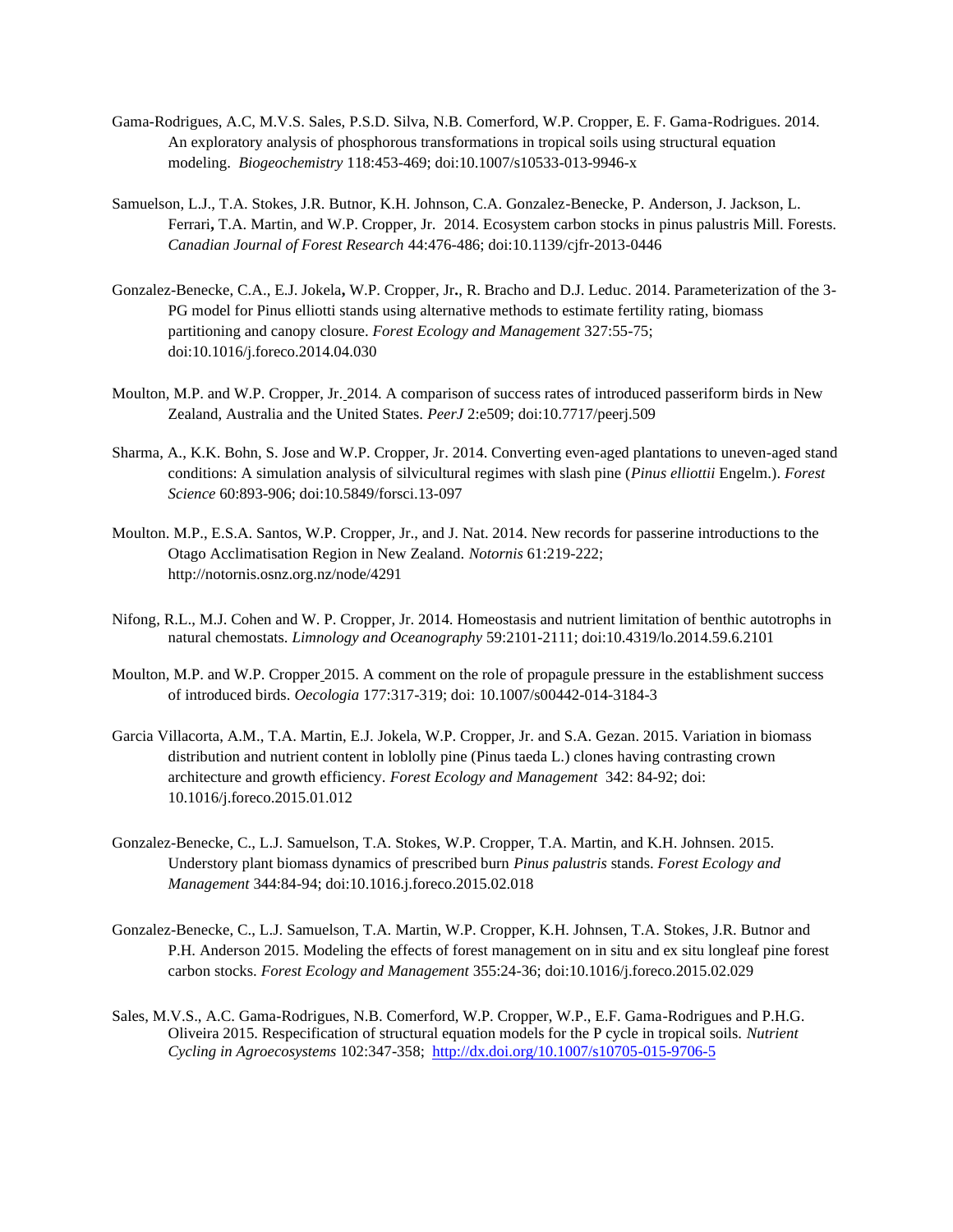- Gama-Rodrigues, A.C, M.V.S. Sales, P.S.D. Silva, N.B. Comerford, W.P. Cropper, E. F. Gama-Rodrigues. 2014. An exploratory analysis of phosphorous transformations in tropical soils using structural equation modeling. *Biogeochemistry* 118:453-469; doi:10.1007/s10533-013-9946-x
- Samuelson, L.J., T.A. Stokes, J.R. Butnor, K.H. Johnson, C.A. Gonzalez-Benecke, P. Anderson, J. Jackson, L. Ferrari**,** T.A. Martin, and W.P. Cropper, Jr. 2014. Ecosystem carbon stocks in pinus palustris Mill. Forests. *Canadian Journal of Forest Research* 44:476-486; doi:10.1139/cjfr-2013-0446
- Gonzalez-Benecke, C.A., E.J. Jokela**,** W.P. Cropper, Jr**.**, R. Bracho and D.J. Leduc. 2014. Parameterization of the 3- PG model for Pinus elliotti stands using alternative methods to estimate fertility rating, biomass partitioning and canopy closure. *Forest Ecology and Management* 327:55-75; doi:10.1016/j.foreco.2014.04.030
- Moulton, M.P. and W.P. Cropper, Jr. 2014. A comparison of success rates of introduced passeriform birds in New Zealand, Australia and the United States. *PeerJ* 2:e509; doi:10.7717/peerj.509
- Sharma, A., K.K. Bohn, S. Jose and W.P. Cropper, Jr. 2014. Converting even-aged plantations to uneven-aged stand conditions: A simulation analysis of silvicultural regimes with slash pine (*Pinus elliottii* Engelm.). *Forest Science* 60:893-906; doi:10.5849/forsci.13-097
- Moulton. M.P., E.S.A. Santos, W.P. Cropper, Jr., and J. Nat. 2014. New records for passerine introductions to the Otago Acclimatisation Region in New Zealand. *Notornis* 61:219-222; http://notornis.osnz.org.nz/node/4291
- Nifong, R.L., M.J. Cohen and W. P. Cropper, Jr. 2014. Homeostasis and nutrient limitation of benthic autotrophs in natural chemostats. *Limnology and Oceanography* 59:2101-2111; doi:10.4319/lo.2014.59.6.2101
- Moulton, M.P. and W.P. Cropper 2015. A comment on the role of propagule pressure in the establishment success of introduced birds. *Oecologia* 177:317-319; doi: 10.1007/s00442-014-3184-3
- Garcia Villacorta, A.M., T.A. Martin, E.J. Jokela, W.P. Cropper, Jr. and S.A. Gezan. 2015. Variation in biomass distribution and nutrient content in loblolly pine (Pinus taeda L.) clones having contrasting crown architecture and growth efficiency. *Forest Ecology and Management* 342: 84-92; doi: 10.1016/j.foreco.2015.01.012
- Gonzalez-Benecke, C., L.J. Samuelson, T.A. Stokes, W.P. Cropper, T.A. Martin, and K.H. Johnsen. 2015. Understory plant biomass dynamics of prescribed burn *Pinus palustris* stands. *Forest Ecology and Management* 344:84-94; doi:10.1016.j.foreco.2015.02.018
- Gonzalez-Benecke, C., L.J. Samuelson, T.A. Martin, W.P. Cropper, K.H. Johnsen, T.A. Stokes, J.R. Butnor and P.H. Anderson 2015. Modeling the effects of forest management on in situ and ex situ longleaf pine forest carbon stocks. *Forest Ecology and Management* 355:24-36; doi:10.1016/j.foreco.2015.02.029
- Sales, M.V.S., A.C. Gama-Rodrigues, N.B. Comerford, W.P. Cropper, W.P., E.F. Gama-Rodrigues and P.H.G. Oliveira 2015. Respecification of structural equation models for the P cycle in tropical soils. *Nutrient Cycling in Agroecosystems* 102:347-358; <http://dx.doi.org/10.1007/s10705-015-9706-5>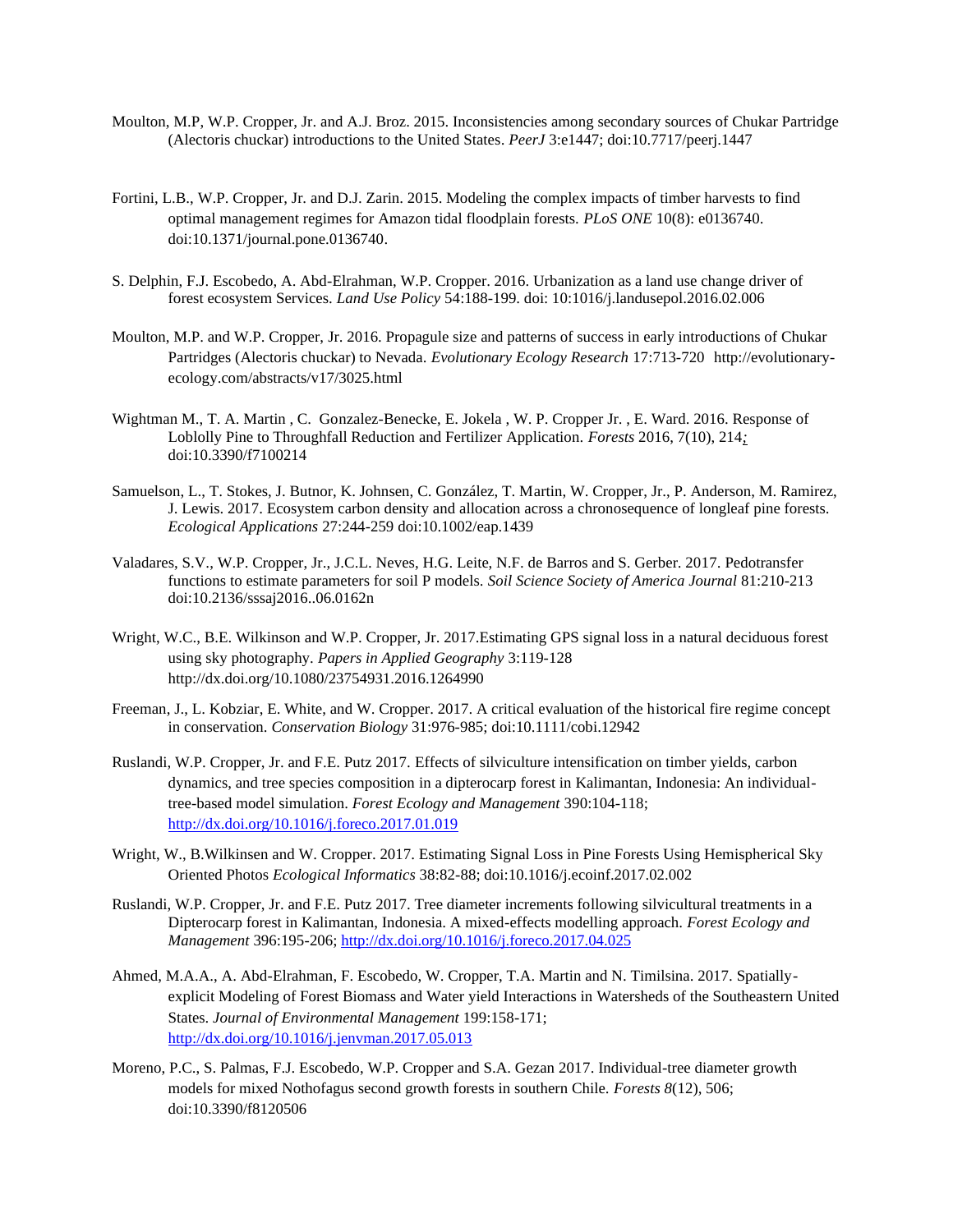- Moulton, M.P, W.P. Cropper, Jr. and A.J. Broz. 2015. Inconsistencies among secondary sources of Chukar Partridge (Alectoris chuckar) introductions to the United States. *PeerJ* 3:e1447; doi:10.7717/peerj.1447
- Fortini, L.B., W.P. Cropper, Jr. and D.J. Zarin. 2015. Modeling the complex impacts of timber harvests to find optimal management regimes for Amazon tidal floodplain forests. *PLoS ONE* 10(8): e0136740. doi:10.1371/journal.pone.0136740.
- S. Delphin, F.J. Escobedo, A. Abd-Elrahman, W.P. Cropper. 2016. Urbanization as a land use change driver of forest ecosystem Services. *Land Use Policy* 54:188-199. doi: 10:1016/j.landusepol.2016.02.006
- Moulton, M.P. and W.P. Cropper, Jr. 2016. Propagule size and patterns of success in early introductions of Chukar Partridges (Alectoris chuckar) to Nevada. *Evolutionary Ecology Research* 17:713-720 http://evolutionaryecology.com/abstracts/v17/3025.html
- Wightman M., T. A. Martin , C. Gonzalez-Benecke, E. Jokela , W. P. Cropper Jr. , E. Ward. 2016. Response of Loblolly Pine to Throughfall Reduction and Fertilizer Application. *Forests* 2016, 7(10), 214*;* doi:10.3390/f7100214
- Samuelson, L., T. Stokes, J. Butnor, K. Johnsen, C. González, T. Martin, W. Cropper, Jr., P. Anderson, M. Ramirez, J. Lewis. 2017. Ecosystem carbon density and allocation across a chronosequence of longleaf pine forests. *Ecological Applications* 27:244-259 doi:10.1002/eap.1439
- Valadares, S.V., W.P. Cropper, Jr., J.C.L. Neves, H.G. Leite, N.F. de Barros and S. Gerber. 2017. Pedotransfer functions to estimate parameters for soil P models. *Soil Science Society of America Journal* 81:210-213 doi:10.2136/sssaj2016..06.0162n
- Wright, W.C., B.E. Wilkinson and W.P. Cropper, Jr. 2017.Estimating GPS signal loss in a natural deciduous forest using sky photography. *Papers in Applied Geography* 3:119-128 http://dx.doi.org/10.1080/23754931.2016.1264990
- Freeman, J., L. Kobziar, E. White, and W. Cropper. 2017. A critical evaluation of the historical fire regime concept in conservation. *Conservation Biology* 31:976-985; doi:10.1111/cobi.12942
- Ruslandi, W.P. Cropper, Jr. and F.E. Putz 2017. Effects of silviculture intensification on timber yields, carbon dynamics, and tree species composition in a dipterocarp forest in Kalimantan, Indonesia: An individualtree-based model simulation. *Forest Ecology and Management* 390:104-118; <http://dx.doi.org/10.1016/j.foreco.2017.01.019>
- Wright, W., B.Wilkinsen and W. Cropper. 2017. Estimating Signal Loss in Pine Forests Using Hemispherical Sky Oriented Photos *Ecological Informatics* 38:82-88; doi:10.1016/j.ecoinf.2017.02.002
- Ruslandi, W.P. Cropper, Jr. and F.E. Putz 2017. Tree diameter increments following silvicultural treatments in a Dipterocarp forest in Kalimantan, Indonesia. A mixed-effects modelling approach. *Forest Ecology and Management* 396:195-206;<http://dx.doi.org/10.1016/j.foreco.2017.04.025>
- Ahmed, M.A.A., A. Abd-Elrahman, F. Escobedo, W. Cropper, T.A. Martin and N. Timilsina. 2017. Spatiallyexplicit Modeling of Forest Biomass and Water yield Interactions in Watersheds of the Southeastern United States. *Journal of Environmental Management* 199:158-171; <http://dx.doi.org/10.1016/j.jenvman.2017.05.013>
- Moreno, P.C., S. Palmas, F.J. Escobedo, W.P. Cropper and S.A. Gezan 2017. Individual-tree diameter growth models for mixed Nothofagus second growth forests in southern Chile. *Forests 8*(12), 506; doi:10.3390/f8120506